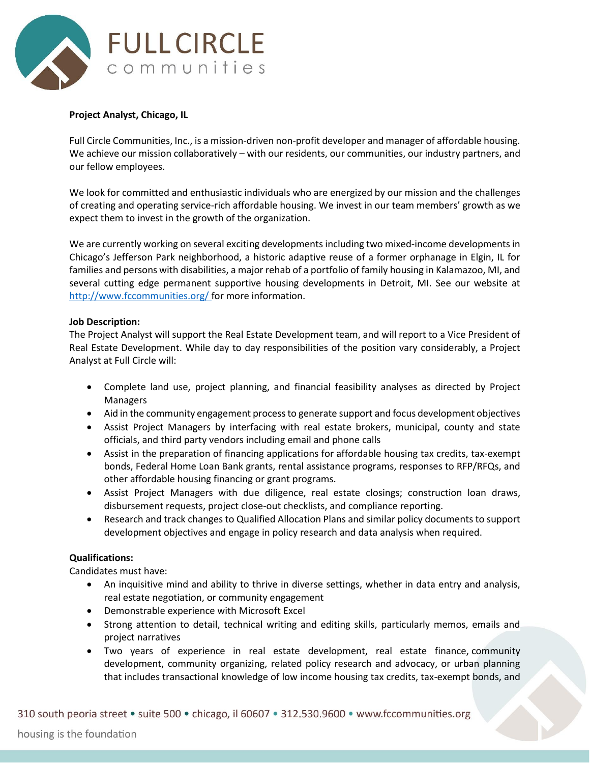

## **Project Analyst, Chicago, IL**

Full Circle Communities, Inc., is a mission-driven non-profit developer and manager of affordable housing. We achieve our mission collaboratively – with our residents, our communities, our industry partners, and our fellow employees.

We look for committed and enthusiastic individuals who are energized by our mission and the challenges of creating and operating service-rich affordable housing. We invest in our team members' growth as we expect them to invest in the growth of the organization.

We are currently working on several exciting developments including two mixed-income developments in Chicago's Jefferson Park neighborhood, a historic adaptive reuse of a former orphanage in Elgin, IL for families and persons with disabilities, a major rehab of a portfolio of family housing in Kalamazoo, MI, and several cutting edge permanent supportive housing developments in Detroit, MI. See our website at <http://www.fccommunities.org/> for more information.

## **Job Description:**

The Project Analyst will support the Real Estate Development team, and will report to a Vice President of Real Estate Development. While day to day responsibilities of the position vary considerably, a Project Analyst at Full Circle will:

- Complete land use, project planning, and financial feasibility analyses as directed by Project Managers
- Aid in the community engagement process to generate support and focus development objectives
- Assist Project Managers by interfacing with real estate brokers, municipal, county and state officials, and third party vendors including email and phone calls
- Assist in the preparation of financing applications for affordable housing tax credits, tax-exempt bonds, Federal Home Loan Bank grants, rental assistance programs, responses to RFP/RFQs, and other affordable housing financing or grant programs.
- Assist Project Managers with due diligence, real estate closings; construction loan draws, disbursement requests, project close-out checklists, and compliance reporting.
- Research and track changes to Qualified Allocation Plans and similar policy documents to support development objectives and engage in policy research and data analysis when required.

## **Qualifications:**

Candidates must have:

- An inquisitive mind and ability to thrive in diverse settings, whether in data entry and analysis, real estate negotiation, or community engagement
- Demonstrable experience with Microsoft Excel
- Strong attention to detail, technical writing and editing skills, particularly memos, emails and project narratives
- Two years of experience in real estate development, real estate finance, community development, community organizing, related policy research and advocacy, or urban planning that includes transactional knowledge of low income housing tax credits, tax-exempt bonds, and